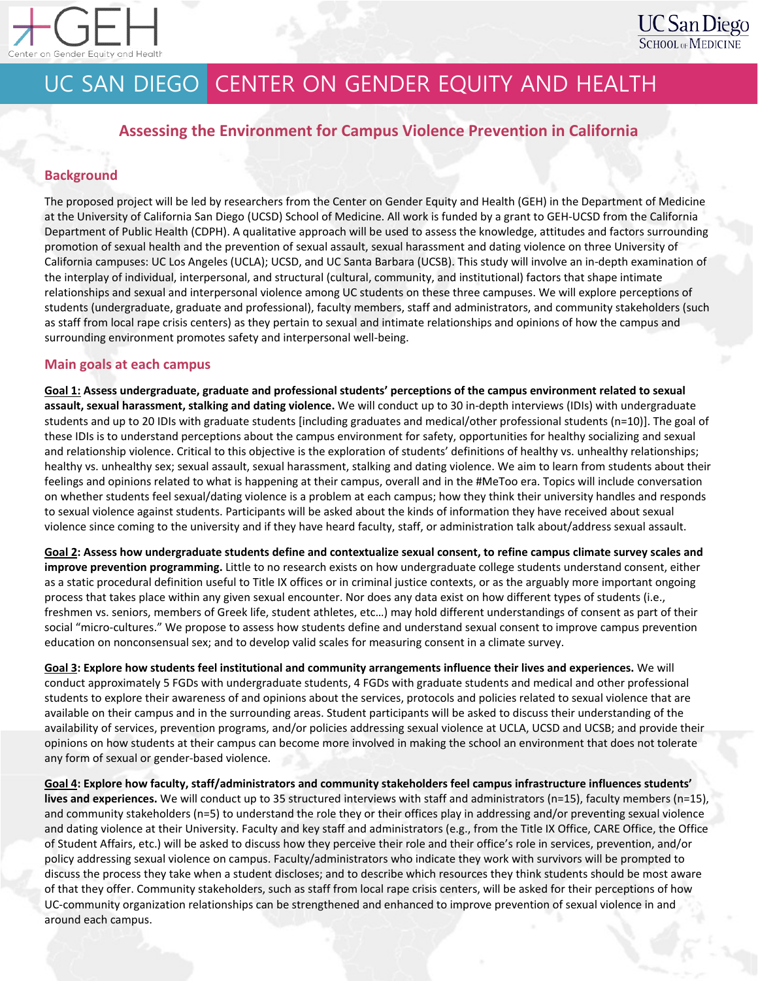

# UC SAN DIEGO CENTER ON GENDER EQUITY AND HEALTH

## **Assessing the Environment for Campus Violence Prevention in California**

### **Background**

The proposed project will be led by researchers from the Center on Gender Equity and Health (GEH) in the Department of Medicine at the University of California San Diego (UCSD) School of Medicine. All work is funded by a grant to GEH-UCSD from the California Department of Public Health (CDPH). A qualitative approach will be used to assess the knowledge, attitudes and factors surrounding promotion of sexual health and the prevention of sexual assault, sexual harassment and dating violence on three University of California campuses: UC Los Angeles (UCLA); UCSD, and UC Santa Barbara (UCSB). This study will involve an in-depth examination of the interplay of individual, interpersonal, and structural (cultural, community, and institutional) factors that shape intimate relationships and sexual and interpersonal violence among UC students on these three campuses. We will explore perceptions of students (undergraduate, graduate and professional), faculty members, staff and administrators, and community stakeholders (such as staff from local rape crisis centers) as they pertain to sexual and intimate relationships and opinions of how the campus and surrounding environment promotes safety and interpersonal well-being.

#### **Main goals at each campus**

**Goal 1: Assess undergraduate, graduate and professional students' perceptions of the campus environment related to sexual assault, sexual harassment, stalking and dating violence.** We will conduct up to 30 in-depth interviews (IDIs) with undergraduate students and up to 20 IDIs with graduate students [including graduates and medical/other professional students (n=10)]. The goal of these IDIs is to understand perceptions about the campus environment for safety, opportunities for healthy socializing and sexual and relationship violence. Critical to this objective is the exploration of students' definitions of healthy vs. unhealthy relationships; healthy vs. unhealthy sex; sexual assault, sexual harassment, stalking and dating violence. We aim to learn from students about their feelings and opinions related to what is happening at their campus, overall and in the #MeToo era. Topics will include conversation on whether students feel sexual/dating violence is a problem at each campus; how they think their university handles and responds to sexual violence against students. Participants will be asked about the kinds of information they have received about sexual violence since coming to the university and if they have heard faculty, staff, or administration talk about/address sexual assault.

**Goal 2: Assess how undergraduate students define and contextualize sexual consent, to refine campus climate survey scales and improve prevention programming.** Little to no research exists on how undergraduate college students understand consent, either as a static procedural definition useful to Title IX offices or in criminal justice contexts, or as the arguably more important ongoing process that takes place within any given sexual encounter. Nor does any data exist on how different types of students (i.e., freshmen vs. seniors, members of Greek life, student athletes, etc…) may hold different understandings of consent as part of their social "micro-cultures." We propose to assess how students define and understand sexual consent to improve campus prevention education on nonconsensual sex; and to develop valid scales for measuring consent in a climate survey.

**Goal 3: Explore how students feel institutional and community arrangements influence their lives and experiences.** We will conduct approximately 5 FGDs with undergraduate students, 4 FGDs with graduate students and medical and other professional students to explore their awareness of and opinions about the services, protocols and policies related to sexual violence that are available on their campus and in the surrounding areas. Student participants will be asked to discuss their understanding of the availability of services, prevention programs, and/or policies addressing sexual violence at UCLA, UCSD and UCSB; and provide their opinions on how students at their campus can become more involved in making the school an environment that does not tolerate any form of sexual or gender-based violence.

**Goal 4: Explore how faculty, staff/administrators and community stakeholders feel campus infrastructure influences students' lives and experiences.** We will conduct up to 35 structured interviews with staff and administrators (n=15), faculty members (n=15), and community stakeholders (n=5) to understand the role they or their offices play in addressing and/or preventing sexual violence and dating violence at their University. Faculty and key staff and administrators (e.g., from the Title IX Office, CARE Office, the Office of Student Affairs, etc.) will be asked to discuss how they perceive their role and their office's role in services, prevention, and/or policy addressing sexual violence on campus. Faculty/administrators who indicate they work with survivors will be prompted to discuss the process they take when a student discloses; and to describe which resources they think students should be most aware of that they offer. Community stakeholders, such as staff from local rape crisis centers, will be asked for their perceptions of how UC-community organization relationships can be strengthened and enhanced to improve prevention of sexual violence in and around each campus.